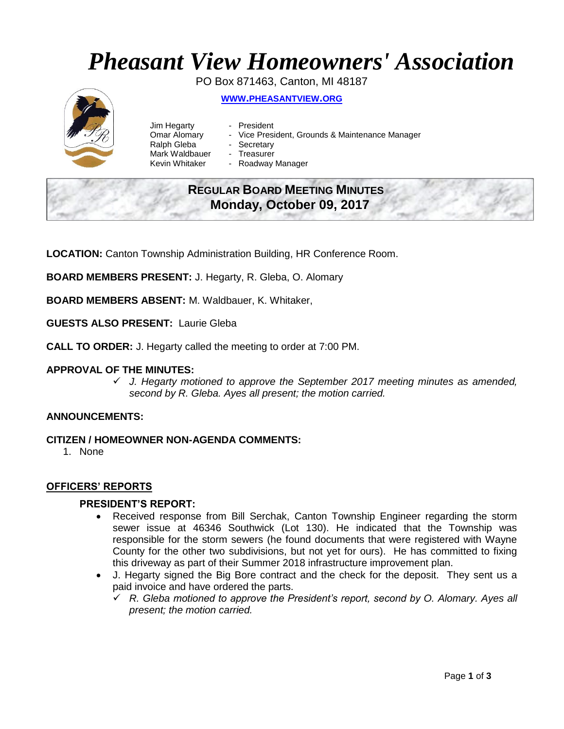# *Pheasant View Homeowners' Association*

PO Box 871463, Canton, MI 48187 **WWW.[PHEASANTVIEW](http://www.pheasantview.org/).ORG**

- Jim Hegarty President Ralph Gleba - Secretary Mark Waldbauer - Treasurer
	-
- Omar Alomary Vice President, Grounds & Maintenance Manager
	-
	-
- Kevin Whitaker Roadway Manager

# **REGULAR BOARD MEETING MINUTES Monday, October 09, 2017**

**LOCATION:** Canton Township Administration Building, HR Conference Room.

**BOARD MEMBERS PRESENT:** J. Hegarty, R. Gleba, O. Alomary

**BOARD MEMBERS ABSENT:** M. Waldbauer, K. Whitaker,

**GUESTS ALSO PRESENT:** Laurie Gleba

**CALL TO ORDER:** J. Hegarty called the meeting to order at 7:00 PM.

#### **APPROVAL OF THE MINUTES:**

✓ *J. Hegarty motioned to approve the September 2017 meeting minutes as amended, second by R. Gleba. Ayes all present; the motion carried.* 

#### **ANNOUNCEMENTS:**

- **CITIZEN / HOMEOWNER NON-AGENDA COMMENTS:** 
	- 1. None

#### **OFFICERS' REPORTS**

#### **PRESIDENT'S REPORT:**

- Received response from Bill Serchak, Canton Township Engineer regarding the storm sewer issue at 46346 Southwick (Lot 130). He indicated that the Township was responsible for the storm sewers (he found documents that were registered with Wayne County for the other two subdivisions, but not yet for ours). He has committed to fixing this driveway as part of their Summer 2018 infrastructure improvement plan.
- J. Hegarty signed the Big Bore contract and the check for the deposit. They sent us a paid invoice and have ordered the parts.
	- ✓ *R. Gleba motioned to approve the President's report, second by O. Alomary. Ayes all present; the motion carried.*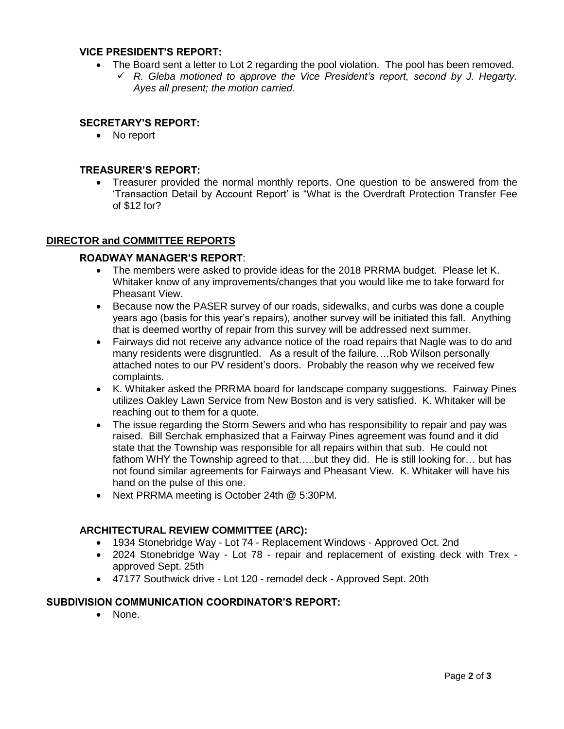#### **VICE PRESIDENT'S REPORT:**

- The Board sent a letter to Lot 2 regarding the pool violation. The pool has been removed.
	- ✓ *R. Gleba motioned to approve the Vice President's report, second by J. Hegarty. Ayes all present; the motion carried.*

#### **SECRETARY'S REPORT:**

• No report

#### **TREASURER'S REPORT:**

• Treasurer provided the normal monthly reports. One question to be answered from the 'Transaction Detail by Account Report' is "What is the Overdraft Protection Transfer Fee of \$12 for?

#### **DIRECTOR and COMMITTEE REPORTS**

#### **ROADWAY MANAGER'S REPORT**:

- The members were asked to provide ideas for the 2018 PRRMA budget. Please let K. Whitaker know of any improvements/changes that you would like me to take forward for Pheasant View.
- Because now the PASER survey of our roads, sidewalks, and curbs was done a couple years ago (basis for this year's repairs), another survey will be initiated this fall. Anything that is deemed worthy of repair from this survey will be addressed next summer.
- Fairways did not receive any advance notice of the road repairs that Nagle was to do and many residents were disgruntled. As a result of the failure….Rob Wilson personally attached notes to our PV resident's doors. Probably the reason why we received few complaints.
- K. Whitaker asked the PRRMA board for landscape company suggestions. Fairway Pines utilizes Oakley Lawn Service from New Boston and is very satisfied. K. Whitaker will be reaching out to them for a quote.
- The issue regarding the Storm Sewers and who has responsibility to repair and pay was raised. Bill Serchak emphasized that a Fairway Pines agreement was found and it did state that the Township was responsible for all repairs within that sub. He could not fathom WHY the Township agreed to that.....but they did. He is still looking for... but has not found similar agreements for Fairways and Pheasant View. K. Whitaker will have his hand on the pulse of this one.
- Next PRRMA meeting is October 24th @ 5:30PM.

#### **ARCHITECTURAL REVIEW COMMITTEE (ARC):**

- 1934 Stonebridge Way Lot 74 Replacement Windows Approved Oct. 2nd
- 2024 Stonebridge Way Lot 78 repair and replacement of existing deck with Trex approved Sept. 25th
- 47177 Southwick drive Lot 120 remodel deck Approved Sept. 20th

#### **SUBDIVISION COMMUNICATION COORDINATOR'S REPORT:**

• None.